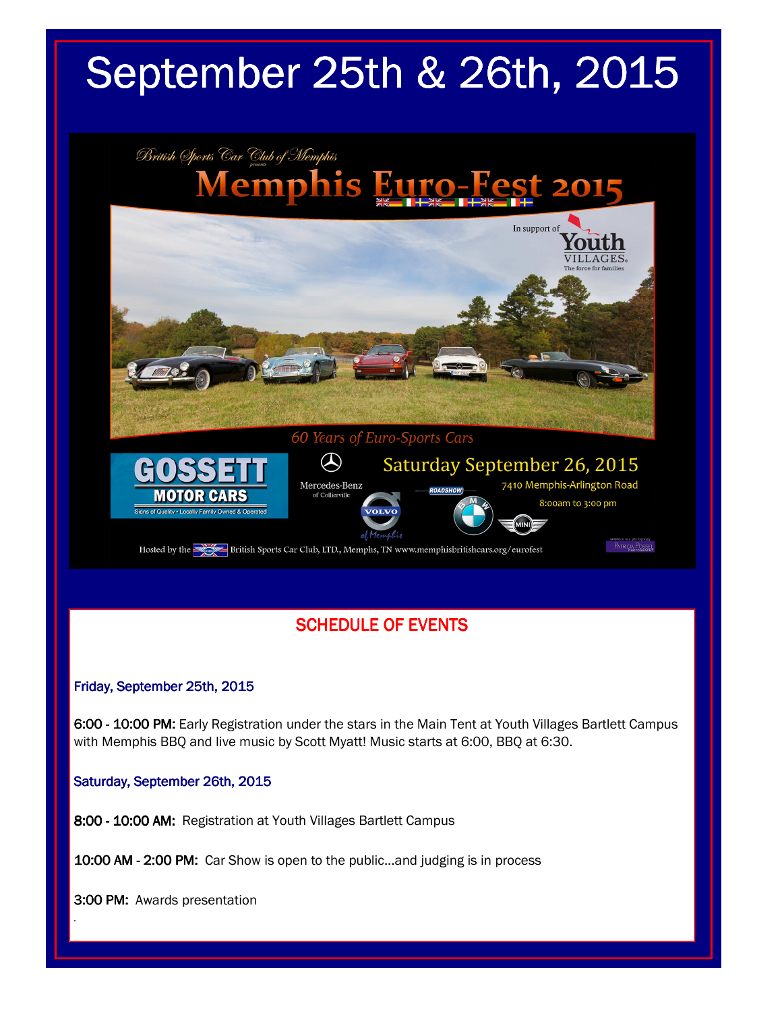# September 25th & 26th, 2015



### **SCHEDULE OF EVENTS**

#### Friday, September 25th, 2015

6:00 - 10:00 PM: Early Registration under the stars in the Main Tent at Youth Villages Bartlett Campus with Memphis BBQ and live music by Scott Myatt! Music starts at 6:00, BBQ at 6:30.

Saturday, September 26th, 2015

8:00 - 10:00 AM: Registration at Youth Villages Bartlett Campus

10:00 AM - 2:00 PM: Car Show is open to the public...and judging is in process

3:00 PM: Awards presentation

*.*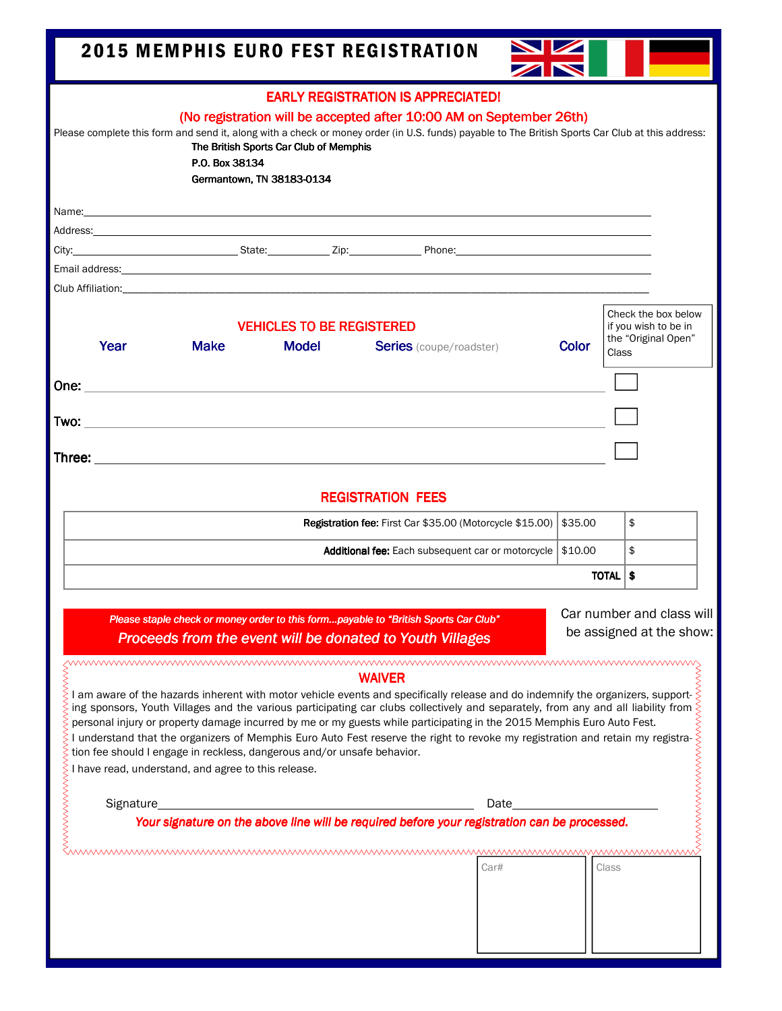| <b>2015 MEMPHIS EURO FEST REGISTRATION</b>                                                                                                                                                                                                                                                                                                                                                                                                                                                                                                                                                                                                                                                       |         |                                                                             |  |
|--------------------------------------------------------------------------------------------------------------------------------------------------------------------------------------------------------------------------------------------------------------------------------------------------------------------------------------------------------------------------------------------------------------------------------------------------------------------------------------------------------------------------------------------------------------------------------------------------------------------------------------------------------------------------------------------------|---------|-----------------------------------------------------------------------------|--|
| <b>EARLY REGISTRATION IS APPRECIATED!</b><br>(No registration will be accepted after 10:00 AM on September 26th)<br>Please complete this form and send it, along with a check or money order (in U.S. funds) payable to The British Sports Car Club at this address:<br>The British Sports Car Club of Memphis<br>P.O. Box 38134<br>Germantown, TN 38183-0134                                                                                                                                                                                                                                                                                                                                    |         |                                                                             |  |
|                                                                                                                                                                                                                                                                                                                                                                                                                                                                                                                                                                                                                                                                                                  |         |                                                                             |  |
| <b>VEHICLES TO BE REGISTERED</b><br>Year<br><b>Make</b><br><b>Model</b><br><b>Series</b> (coupe/roadster)                                                                                                                                                                                                                                                                                                                                                                                                                                                                                                                                                                                        | Color   | Check the box below<br>if you wish to be in<br>the "Original Open"<br>Class |  |
|                                                                                                                                                                                                                                                                                                                                                                                                                                                                                                                                                                                                                                                                                                  |         |                                                                             |  |
| <b>REGISTRATION FEES</b>                                                                                                                                                                                                                                                                                                                                                                                                                                                                                                                                                                                                                                                                         |         |                                                                             |  |
| Registration fee: First Car \$35.00 (Motorcycle \$15.00)                                                                                                                                                                                                                                                                                                                                                                                                                                                                                                                                                                                                                                         | \$35.00 | \$                                                                          |  |
| Additional fee: Each subsequent car or motorcycle   \$10.00                                                                                                                                                                                                                                                                                                                                                                                                                                                                                                                                                                                                                                      |         | \$                                                                          |  |
|                                                                                                                                                                                                                                                                                                                                                                                                                                                                                                                                                                                                                                                                                                  |         | TOTAL   \$                                                                  |  |
| Car number and class will<br>Please staple check or money order to this formpayable to "British Sports Car Club"<br>be assigned at the show:<br>Proceeds from the event will be donated to Youth Villages                                                                                                                                                                                                                                                                                                                                                                                                                                                                                        |         |                                                                             |  |
| <b>WAIVER</b><br>I am aware of the hazards inherent with motor vehicle events and specifically release and do indemnify the organizers, support-<br>ing sponsors, Youth Villages and the various participating car clubs collectively and separately, from any and all liability from<br>personal injury or property damage incurred by me or my guests while participating in the 2015 Memphis Euro Auto Fest.<br>I understand that the organizers of Memphis Euro Auto Fest reserve the right to revoke my registration and retain my registra-<br>tion fee should I engage in reckless, dangerous and/or unsafe behavior.<br>wwwwwwwww<br>I have read, understand, and agree to this release. |         |                                                                             |  |
| <b>NNNNNNN</b><br>Signature_<br>Date                                                                                                                                                                                                                                                                                                                                                                                                                                                                                                                                                                                                                                                             |         |                                                                             |  |
| Your signature on the above line will be required before your registration can be processed.<br>Car#                                                                                                                                                                                                                                                                                                                                                                                                                                                                                                                                                                                             |         | Class                                                                       |  |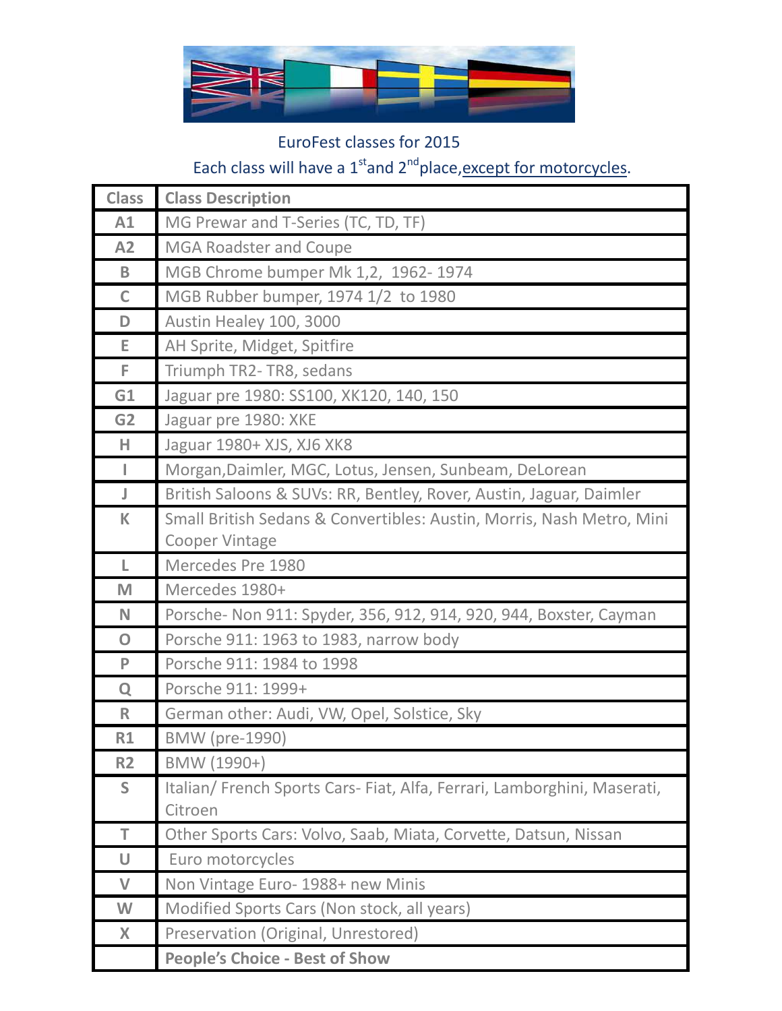

## EuroFest classes for 2015 Each class will have a  $1<sup>st</sup>$  and  $2<sup>nd</sup>$  place, except for motorcycles.

| <b>Class</b>   | <b>Class Description</b>                                               |
|----------------|------------------------------------------------------------------------|
| A1             | MG Prewar and T-Series (TC, TD, TF)                                    |
| A2             | <b>MGA Roadster and Coupe</b>                                          |
| B              | MGB Chrome bumper Mk 1,2, 1962-1974                                    |
| $\mathsf{C}$   | MGB Rubber bumper, 1974 1/2 to 1980                                    |
| D              | Austin Healey 100, 3000                                                |
| E.             | AH Sprite, Midget, Spitfire                                            |
| F.             | Triumph TR2- TR8, sedans                                               |
| G1             | Jaguar pre 1980: SS100, XK120, 140, 150                                |
| G <sub>2</sub> | Jaguar pre 1980: XKE                                                   |
| H              | Jaguar 1980+ XJS, XJ6 XK8                                              |
| $\mathsf{L}$   | Morgan, Daimler, MGC, Lotus, Jensen, Sunbeam, DeLorean                 |
| J              | British Saloons & SUVs: RR, Bentley, Rover, Austin, Jaguar, Daimler    |
| K              | Small British Sedans & Convertibles: Austin, Morris, Nash Metro, Mini  |
|                | <b>Cooper Vintage</b>                                                  |
| L.             | Mercedes Pre 1980                                                      |
| M              | Mercedes 1980+                                                         |
| N              | Porsche- Non 911: Spyder, 356, 912, 914, 920, 944, Boxster, Cayman     |
| $\overline{O}$ | Porsche 911: 1963 to 1983, narrow body                                 |
| P              | Porsche 911: 1984 to 1998                                              |
| Q              | Porsche 911: 1999+                                                     |
| $\mathsf{R}$   | German other: Audi, VW, Opel, Solstice, Sky                            |
| R1             | <b>BMW</b> (pre-1990)                                                  |
| <b>R2</b>      | BMW (1990+)                                                            |
| S              | Italian/French Sports Cars-Fiat, Alfa, Ferrari, Lamborghini, Maserati, |
|                | Citroen                                                                |
| T              | Other Sports Cars: Volvo, Saab, Miata, Corvette, Datsun, Nissan        |
| U              | Euro motorcycles                                                       |
| $\vee$         | Non Vintage Euro- 1988+ new Minis                                      |
| W              | Modified Sports Cars (Non stock, all years)                            |
| X              | Preservation (Original, Unrestored)                                    |
|                | <b>People's Choice - Best of Show</b>                                  |